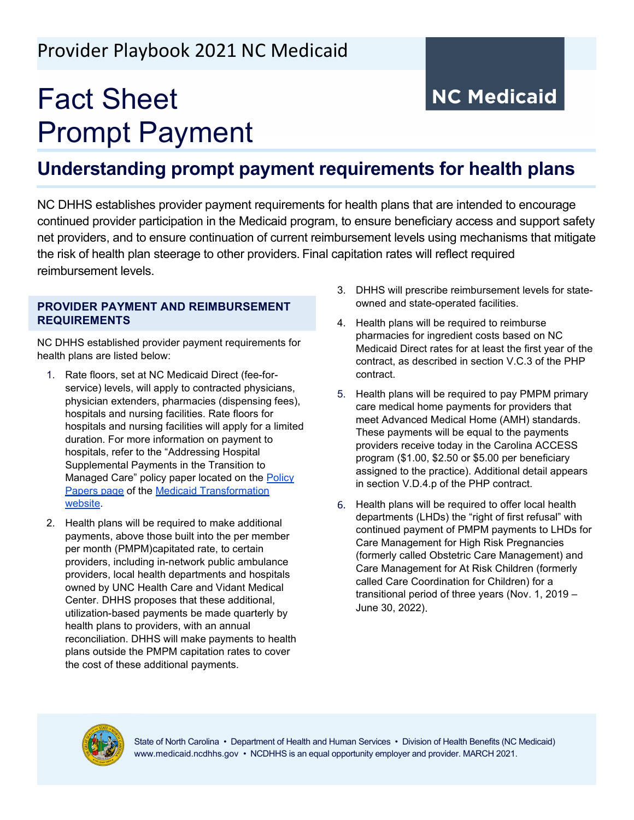## Provider Playbook 2021 NC Medicaid

# Fact Sheet Prompt Payment

# **NC Medicaid**

### **Understanding prompt payment requirements for health plans**

NC DHHS establishes provider payment requirements for health plans that are intended to encourage continued provider participation in the Medicaid program, to ensure beneficiary access and support safety net providers, and to ensure continuation of current reimbursement levels using mechanisms that mitigate the risk of health plan steerage to other providers. Final capitation rates will reflect required reimbursement levels.

#### **PROVIDER PAYMENT AND REIMBURSEMENT REQUIREMENTS**

NC DHHS established provider payment requirements for health plans are listed below:

- 1. Rate floors, set at NC Medicaid Direct (fee-forservice) levels, will apply to contracted physicians, physician extenders, pharmacies (dispensing fees), hospitals and nursing facilities. Rate floors for hospitals and nursing facilities will apply for a limited duration. For more information on payment to hospitals, refer to the "Addressing Hospital Supplemental Payments in the Transition to Managed Care" policy paper located on the Policy [Papers page](https://www.ncdhhs.gov/assistance/medicaid-transformation/proposed-program-design/policy-papers) of the [Medicaid Transformation](https://www.ncdhhs.gov/assistance/medicaid-transformation)  [website.](https://www.ncdhhs.gov/assistance/medicaid-transformation)
- 2. Health plans will be required to make additional payments, above those built into the per member per month (PMPM)capitated rate, to certain providers, including in-network public ambulance providers, local health departments and hospitals owned by UNC Health Care and Vidant Medical Center. DHHS proposes that these additional, utilization-based payments be made quarterly by health plans to providers, with an annual reconciliation. DHHS will make payments to health plans outside the PMPM capitation rates to cover the cost of these additional payments.
- 3. DHHS will prescribe reimbursement levels for stateowned and state-operated facilities.
- 4. Health plans will be required to reimburse pharmacies for ingredient costs based on NC Medicaid Direct rates for at least the first year of the contract, as described in section V.C.3 of the PHP contract.
- 5. Health plans will be required to pay PMPM primary care medical home payments for providers that meet Advanced Medical Home (AMH) standards. These payments will be equal to the payments providers receive today in the Carolina ACCESS program (\$1.00, \$2.50 or \$5.00 per beneficiary assigned to the practice). Additional detail appears in section V.D.4.p of the PHP contract.
- 6. Health plans will be required to offer local health departments (LHDs) the "right of first refusal" with continued payment of PMPM payments to LHDs for Care Management for High Risk Pregnancies (formerly called Obstetric Care Management) and Care Management for At Risk Children (formerly called Care Coordination for Children) for a transitional period of three years (Nov. 1, 2019 – June 30, 2022).



State of North Carolina • Department of Health and Human Services • Division of Health Benefits (NC Medicaid) www.medicaid.ncdhhs.gov • NCDHHS is an equal opportunity employer and provider. MARCH 2021.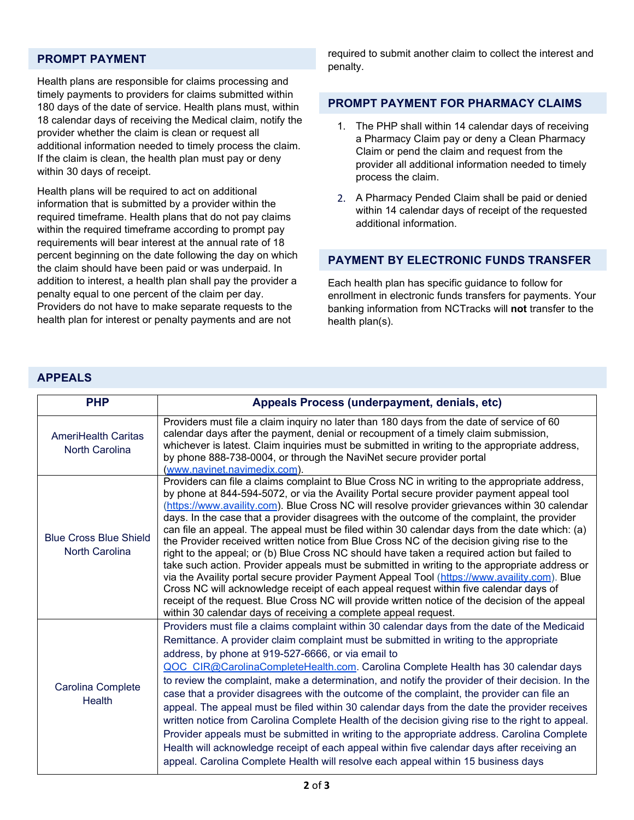#### **PROMPT PAYMENT**

Health plans are responsible for claims processing and timely payments to providers for claims submitted within 180 days of the date of service. Health plans must, within 18 calendar days of receiving the Medical claim, notify the provider whether the claim is clean or request all additional information needed to timely process the claim. If the claim is clean, the health plan must pay or deny within 30 days of receipt.

Health plans will be required to act on additional information that is submitted by a provider within the required timeframe. Health plans that do not pay claims within the required timeframe according to prompt pay requirements will bear interest at the annual rate of 18 percent beginning on the date following the day on which the claim should have been paid or was underpaid. In addition to interest, a health plan shall pay the provider a penalty equal to one percent of the claim per day. Providers do not have to make separate requests to the health plan for interest or penalty payments and are not

required to submit another claim to collect the interest and penalty.

#### **PROMPT PAYMENT FOR PHARMACY CLAIMS**

- 1. The PHP shall within 14 calendar days of receiving a Pharmacy Claim pay or deny a Clean Pharmacy Claim or pend the claim and request from the provider all additional information needed to timely process the claim.
- 2. A Pharmacy Pended Claim shall be paid or denied within 14 calendar days of receipt of the requested additional information.

#### **PAYMENT BY ELECTRONIC FUNDS TRANSFER**

Each health plan has specific guidance to follow for enrollment in electronic funds transfers for payments. Your banking information from NCTracks will **not** transfer to the health plan(s).

#### **APPEALS**

| <b>PHP</b>                                      | Appeals Process (underpayment, denials, etc)                                                                                                                                                                                                                                                                                                                                                                                                                                                                                                                                                                                                                                                                                                                                                                                                                                                                                                                                                                                                                                                                                                            |
|-------------------------------------------------|---------------------------------------------------------------------------------------------------------------------------------------------------------------------------------------------------------------------------------------------------------------------------------------------------------------------------------------------------------------------------------------------------------------------------------------------------------------------------------------------------------------------------------------------------------------------------------------------------------------------------------------------------------------------------------------------------------------------------------------------------------------------------------------------------------------------------------------------------------------------------------------------------------------------------------------------------------------------------------------------------------------------------------------------------------------------------------------------------------------------------------------------------------|
| <b>AmeriHealth Caritas</b><br>North Carolina    | Providers must file a claim inquiry no later than 180 days from the date of service of 60<br>calendar days after the payment, denial or recoupment of a timely claim submission,<br>whichever is latest. Claim inquiries must be submitted in writing to the appropriate address,<br>by phone 888-738-0004, or through the NaviNet secure provider portal<br>(www.navinet.navimedix.com).                                                                                                                                                                                                                                                                                                                                                                                                                                                                                                                                                                                                                                                                                                                                                               |
| <b>Blue Cross Blue Shield</b><br>North Carolina | Providers can file a claims complaint to Blue Cross NC in writing to the appropriate address,<br>by phone at 844-594-5072, or via the Availity Portal secure provider payment appeal tool<br>(https://www.availity.com). Blue Cross NC will resolve provider grievances within 30 calendar<br>days. In the case that a provider disagrees with the outcome of the complaint, the provider<br>can file an appeal. The appeal must be filed within 30 calendar days from the date which: (a)<br>the Provider received written notice from Blue Cross NC of the decision giving rise to the<br>right to the appeal; or (b) Blue Cross NC should have taken a required action but failed to<br>take such action. Provider appeals must be submitted in writing to the appropriate address or<br>via the Availity portal secure provider Payment Appeal Tool (https://www.availity.com). Blue<br>Cross NC will acknowledge receipt of each appeal request within five calendar days of<br>receipt of the request. Blue Cross NC will provide written notice of the decision of the appeal<br>within 30 calendar days of receiving a complete appeal request. |
| <b>Carolina Complete</b><br><b>Health</b>       | Providers must file a claims complaint within 30 calendar days from the date of the Medicaid<br>Remittance. A provider claim complaint must be submitted in writing to the appropriate<br>address, by phone at 919-527-6666, or via email to<br>QOC CIR@CarolinaCompleteHealth.com. Carolina Complete Health has 30 calendar days<br>to review the complaint, make a determination, and notify the provider of their decision. In the<br>case that a provider disagrees with the outcome of the complaint, the provider can file an<br>appeal. The appeal must be filed within 30 calendar days from the date the provider receives<br>written notice from Carolina Complete Health of the decision giving rise to the right to appeal.<br>Provider appeals must be submitted in writing to the appropriate address. Carolina Complete<br>Health will acknowledge receipt of each appeal within five calendar days after receiving an<br>appeal. Carolina Complete Health will resolve each appeal within 15 business days                                                                                                                              |